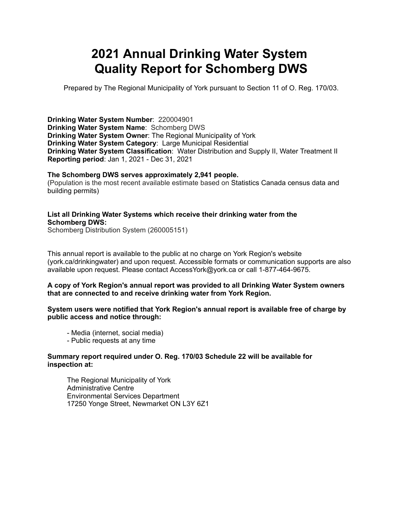# **2021 Annual Drinking Water System Quality Report for Schomberg DWS**

Prepared by The Regional Municipality of York pursuant to Section 11 of O. Reg. 170/03.

**Drinking Water System Number**: 220004901 **Drinking Water System Name**: Schomberg DWS **Drinking Water System Owner**: The Regional Municipality of York **Drinking Water System Category**: Large Municipal Residential **Drinking Water System Classification**: Water Distribution and Supply II, Water Treatment II **Reporting period**: Jan 1, 2021 - Dec 31, 2021

#### **The Schomberg DWS serves approximately 2,941 people.**

(Population is the most recent available estimate based on Statistics Canada census data and building permits)

#### **List all Drinking Water Systems which receive their drinking water from the Schomberg DWS:**

Schomberg Distribution System (260005151)

This annual report is available to the public at no charge on York Region's website (york.ca/drinkingwater) and upon request. Accessible formats or communication supports are also available upon request. Please contact [AccessYork@york.ca](mailto:AccessYork@york.ca) or call 1-877-464-9675.

#### **A copy of York Region's annual report was provided to all Drinking Water System owners that are connected to and receive drinking water from York Region.**

#### **System users were notified that York Region's annual report is available free of charge by public access and notice through:**

- Media (internet, social media)
- Public requests at any time

#### **Summary report required under O. Reg. 170/03 Schedule 22 will be available for inspection at:**

 The Regional Municipality of York Administrative Centre Environmental Services Department 17250 Yonge Street, Newmarket ON L3Y 6Z1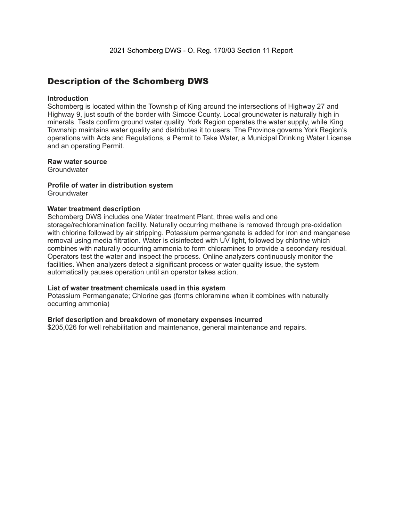### Description of the Schomberg DWS

#### **Introduction**

Schomberg is located within the Township of King around the intersections of Highway 27 and Highway 9, just south of the border with Simcoe County. Local groundwater is naturally high in minerals. Tests confirm ground water quality. York Region operates the water supply, while King Township maintains water quality and distributes it to users. The Province governs York Region's operations with Acts and Regulations, a Permit to Take Water, a Municipal Drinking Water License and an operating Permit.

#### **Raw water source**

**Groundwater** 

### **Profile of water in distribution system**

**Groundwater** 

#### **Water treatment description**

Schomberg DWS includes one Water treatment Plant, three wells and one storage/rechloramination facility. Naturally occurring methane is removed through pre-oxidation with chlorine followed by air stripping. Potassium permanganate is added for iron and manganese removal using media filtration. Water is disinfected with UV light, followed by chlorine which combines with naturally occurring ammonia to form chloramines to provide a secondary residual. Operators test the water and inspect the process. Online analyzers continuously monitor the facilities. When analyzers detect a significant process or water quality issue, the system automatically pauses operation until an operator takes action.

#### **List of water treatment chemicals used in this system**

Potassium Permanganate; Chlorine gas (forms chloramine when it combines with naturally occurring ammonia)

#### **Brief description and breakdown of monetary expenses incurred**

\$205,026 for well rehabilitation and maintenance, general maintenance and repairs.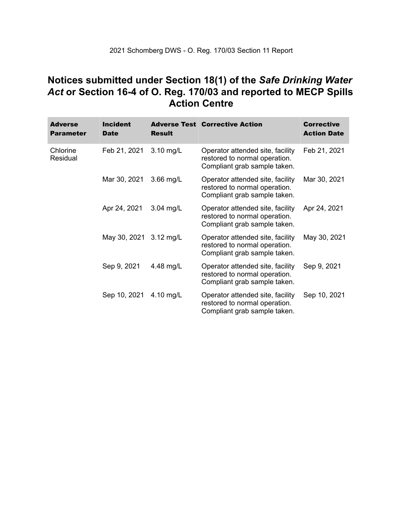### **Notices submitted under Section 18(1) of the** *Safe Drinking Water*  *Act* **or Section 16-4 of O. Reg. 170/03 and reported to MECP Spills Action Centre**

| <b>Adverse</b><br><b>Parameter</b> | <b>Incident</b><br><b>Date</b> | <b>Result</b> | <b>Adverse Test Corrective Action</b>                                                             | <b>Corrective</b><br><b>Action Date</b> |
|------------------------------------|--------------------------------|---------------|---------------------------------------------------------------------------------------------------|-----------------------------------------|
| Chlorine<br>Residual               | Feb 21, 2021                   | 3.10 mg/L     | Operator attended site, facility<br>restored to normal operation.<br>Compliant grab sample taken. | Feb 21, 2021                            |
|                                    | Mar 30, 2021                   | $3.66$ mg/L   | Operator attended site, facility<br>restored to normal operation.<br>Compliant grab sample taken. | Mar 30, 2021                            |
|                                    | Apr 24, 2021                   | $3.04$ mg/L   | Operator attended site, facility<br>restored to normal operation.<br>Compliant grab sample taken. | Apr 24, 2021                            |
|                                    | May 30, 2021 3.12 mg/L         |               | Operator attended site, facility<br>restored to normal operation.<br>Compliant grab sample taken. | May 30, 2021                            |
|                                    | Sep 9, 2021                    | 4.48 mg/L     | Operator attended site, facility<br>restored to normal operation.<br>Compliant grab sample taken. | Sep 9, 2021                             |
|                                    | Sep 10, 2021                   | 4.10 mg/L     | Operator attended site, facility<br>restored to normal operation.<br>Compliant grab sample taken. | Sep 10, 2021                            |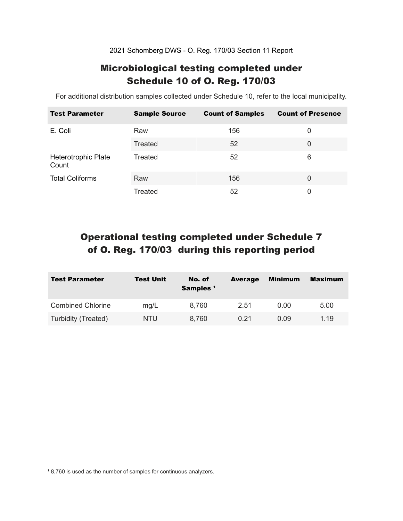2021 Schomberg DWS - O. Reg. 170/03 Section 11 Report

### Microbiological testing completed under Schedule 10 of O. Reg. 170/03

For additional distribution samples collected under Schedule 10, refer to the local municipality.

| <b>Test Parameter</b>        | <b>Sample Source</b> | <b>Count of Samples</b> | <b>Count of Presence</b> |
|------------------------------|----------------------|-------------------------|--------------------------|
| E. Coli                      | Raw                  | 156                     | 0                        |
|                              | Treated              | 52                      | 0                        |
| Heterotrophic Plate<br>Count | Treated              | 52                      | 6                        |
| <b>Total Coliforms</b>       | Raw                  | 156                     | $\Omega$                 |
|                              | Treated              | 52                      | 0                        |

## Operational testing completed under Schedule 7 of O. Reg. 170/03 during this reporting period

| <b>Test Parameter</b>    | <b>Test Unit</b> | No. of<br>Samples <sup>1</sup> | <b>Average</b> | Minimum | <b>Maximum</b> |
|--------------------------|------------------|--------------------------------|----------------|---------|----------------|
| <b>Combined Chlorine</b> | mg/L             | 8,760                          | 2.51           | 0.00    | 5.00           |
| Turbidity (Treated)      | NTU              | 8,760                          | 0.21           | 0.09    | 1.19           |

<sup>1</sup> 8,760 is used as the number of samples for continuous analyzers.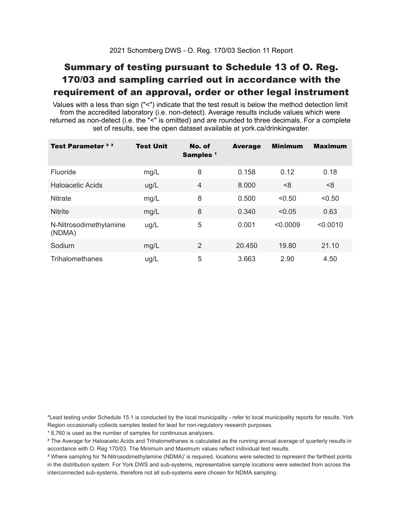## Summary of testing pursuant to Schedule 13 of O. Reg. 170/03 and sampling carried out in accordance with the requirement of an approval, order or other legal instrument

 Values with a less than sign ("<") indicate that the test result is below the method detection limit from the accredited laboratory (i.e. non-detect). Average results include values which were returned as non-detect (i.e. the "<" is omitted) and are rounded to three decimals. For a complete set of results, see the open dataset available at york.ca/drinkingwater.

| Test Parameter <sup>23</sup>     | <b>Test Unit</b> | No. of<br>Samples <sup>1</sup> | <b>Average</b> | <b>Minimum</b> | <b>Maximum</b> |
|----------------------------------|------------------|--------------------------------|----------------|----------------|----------------|
| Fluoride                         | mg/L             | 8                              | 0.158          | 0.12           | 0.18           |
| Haloacetic Acids                 | ug/L             | $\overline{4}$                 | 8.000          | < 8            | < 8            |
| <b>Nitrate</b>                   | mg/L             | 8                              | 0.500          | < 0.50         | < 0.50         |
| <b>Nitrite</b>                   | mg/L             | 8                              | 0.340          | < 0.05         | 0.63           |
| N-Nitrosodimethylamine<br>(NDMA) | ug/L             | 5                              | 0.001          | < 0.0009       | < 0.0010       |
| Sodium                           | mg/L             | 2                              | 20.450         | 19.80          | 21.10          |
| Trihalomethanes                  | ug/L             | 5                              | 3.663          | 2.90           | 4.50           |

 \*Lead testing under Schedule 15.1 is conducted by the local municipality - refer to local municipality reports for results. York Region occasionally collects samples tested for lead for non-regulatory research purposes.

<sup>1</sup>8,760 is used as the number of samples for continuous analyzers.

 $\mathrm{^2}$  The Average for Haloacetic Acids and Trihalomethanes is calculated as the running annual average of quarterly results in accordance with O. Reg 170/03. The Minimum and Maximum values reflect individual test results.

<sup>3</sup> Where sampling for 'N-Nitrosodimethylamine (NDMA)' is required, locations were selected to represent the farthest points in the distribution system. For York DWS and sub-systems, representative sample locations were selected from across the interconnected sub-systems, therefore not all sub-systems were chosen for NDMA sampling.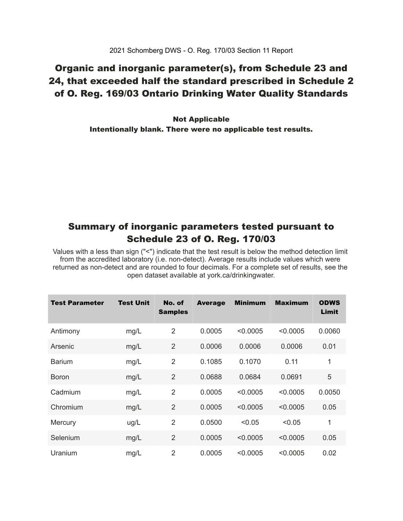### Organic and inorganic parameter(s), from Schedule 23 and 24, that exceeded half the standard prescribed in Schedule 2 of O. Reg. 169/03 Ontario Drinking Water Quality Standards

 Intentionally blank. There were no applicable test results. Not Applicable

### Summary of inorganic parameters tested pursuant to Schedule 23 of O. Reg. 170/03

 Values with a less than sign ("<") indicate that the test result is below the method detection limit from the accredited laboratory (i.e. non-detect). Average results include values which were returned as non-detect and are rounded to four decimals. For a complete set of results, see the open dataset available at york.ca/drinkingwater.

| Test Parameter | <b>Test Unit</b> | No. of<br><b>Samples</b> | <b>Average</b> | <b>Minimum</b> | <b>Maximum</b> | <b>ODWS</b><br>Limit |
|----------------|------------------|--------------------------|----------------|----------------|----------------|----------------------|
| Antimony       | mg/L             | $\overline{2}$           | 0.0005         | < 0.0005       | < 0.0005       | 0.0060               |
| Arsenic        | mg/L             | $\overline{2}$           | 0.0006         | 0.0006         | 0.0006         | 0.01                 |
| <b>Barium</b>  | mg/L             | $\overline{2}$           | 0.1085         | 0.1070         | 0.11           | 1                    |
| <b>Boron</b>   | mg/L             | $\overline{2}$           | 0.0688         | 0.0684         | 0.0691         | 5                    |
| Cadmium        | mg/L             | $\overline{2}$           | 0.0005         | < 0.0005       | < 0.0005       | 0.0050               |
| Chromium       | mg/L             | $\overline{2}$           | 0.0005         | < 0.0005       | < 0.0005       | 0.05                 |
| Mercury        | ug/L             | 2                        | 0.0500         | < 0.05         | < 0.05         | 1                    |
| Selenium       | mg/L             | $\overline{2}$           | 0.0005         | < 0.0005       | < 0.0005       | 0.05                 |
| Uranium        | mg/L             | $\overline{2}$           | 0.0005         | < 0.0005       | < 0.0005       | 0.02                 |